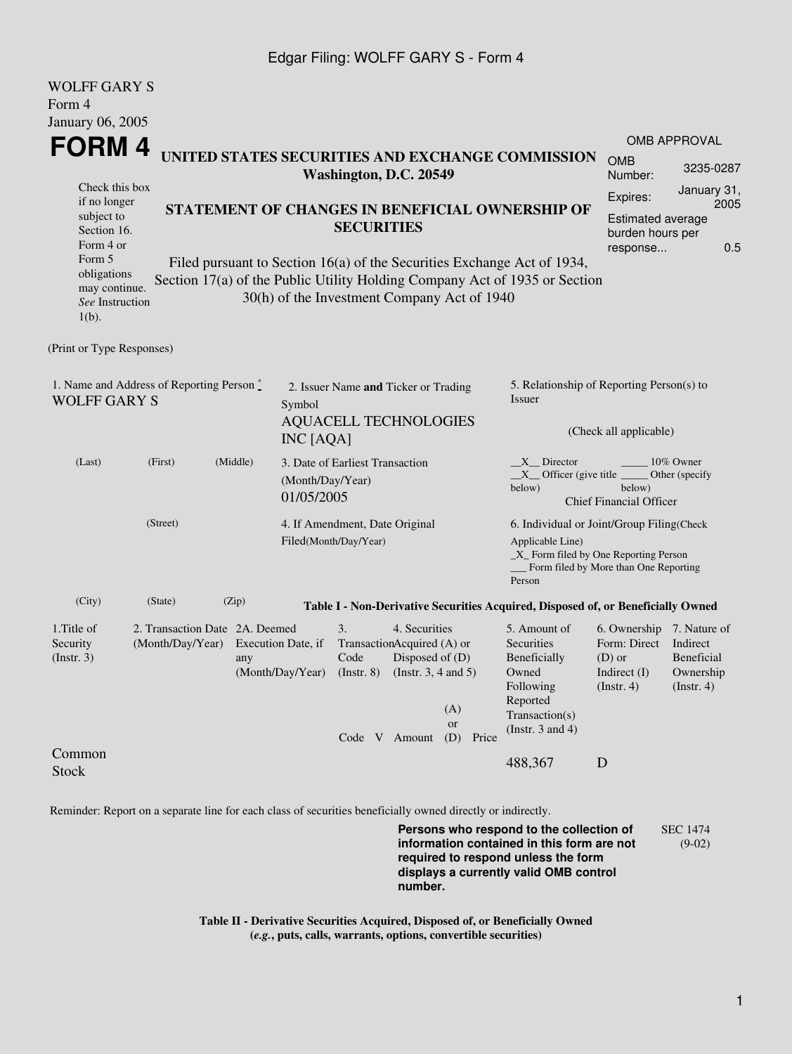#### Edgar Filing: WOLFF GARY S - Form 4

| <b>WOLFF GARY S</b>                                                                                                                                                                                                                                                                                                                                                                                                                                                                                |                                                                       |          |                                                                   |                                                                      |                                    |           |                                                                                                                                                            |                                                                                                |                                                                                                      |                                              |
|----------------------------------------------------------------------------------------------------------------------------------------------------------------------------------------------------------------------------------------------------------------------------------------------------------------------------------------------------------------------------------------------------------------------------------------------------------------------------------------------------|-----------------------------------------------------------------------|----------|-------------------------------------------------------------------|----------------------------------------------------------------------|------------------------------------|-----------|------------------------------------------------------------------------------------------------------------------------------------------------------------|------------------------------------------------------------------------------------------------|------------------------------------------------------------------------------------------------------|----------------------------------------------|
| Form 4                                                                                                                                                                                                                                                                                                                                                                                                                                                                                             |                                                                       |          |                                                                   |                                                                      |                                    |           |                                                                                                                                                            |                                                                                                |                                                                                                      |                                              |
| January 06, 2005                                                                                                                                                                                                                                                                                                                                                                                                                                                                                   |                                                                       |          |                                                                   |                                                                      |                                    |           |                                                                                                                                                            |                                                                                                |                                                                                                      | <b>OMB APPROVAL</b>                          |
| <b>FORM4</b>                                                                                                                                                                                                                                                                                                                                                                                                                                                                                       |                                                                       |          |                                                                   | Washington, D.C. 20549                                               |                                    |           |                                                                                                                                                            | UNITED STATES SECURITIES AND EXCHANGE COMMISSION                                               | <b>OMB</b><br>Number:                                                                                | 3235-0287                                    |
| Check this box<br>Expires:<br>if no longer<br>STATEMENT OF CHANGES IN BENEFICIAL OWNERSHIP OF<br>subject to<br>Estimated average<br><b>SECURITIES</b><br>Section 16.<br>burden hours per<br>Form 4 or<br>response<br>Form 5<br>Filed pursuant to Section 16(a) of the Securities Exchange Act of 1934,<br>obligations<br>Section 17(a) of the Public Utility Holding Company Act of 1935 or Section<br>may continue.<br>30(h) of the Investment Company Act of 1940<br>See Instruction<br>$1(b)$ . |                                                                       |          |                                                                   |                                                                      |                                    |           |                                                                                                                                                            | January 31,<br>2005<br>0.5                                                                     |                                                                                                      |                                              |
| (Print or Type Responses)                                                                                                                                                                                                                                                                                                                                                                                                                                                                          |                                                                       |          |                                                                   |                                                                      |                                    |           |                                                                                                                                                            |                                                                                                |                                                                                                      |                                              |
| <b>WOLFF GARY S</b>                                                                                                                                                                                                                                                                                                                                                                                                                                                                                | 1. Name and Address of Reporting Person $\stackrel{*}{\mathbb{L}}$    |          | Symbol<br>INC [AQA]                                               | 2. Issuer Name and Ticker or Trading<br><b>AQUACELL TECHNOLOGIES</b> |                                    |           |                                                                                                                                                            | 5. Relationship of Reporting Person(s) to<br>Issuer                                            | (Check all applicable)                                                                               |                                              |
| (Last)                                                                                                                                                                                                                                                                                                                                                                                                                                                                                             | (First)                                                               | (Middle) | 3. Date of Earliest Transaction<br>(Month/Day/Year)<br>01/05/2005 |                                                                      |                                    |           | $X$ <sub>_</sub> Director<br>$X$ Officer (give title $\overline{\phantom{a}}$<br>below)                                                                    | 10% Owner<br>Other (specify<br>below)<br><b>Chief Financial Officer</b>                        |                                                                                                      |                                              |
| (Street)                                                                                                                                                                                                                                                                                                                                                                                                                                                                                           |                                                                       |          | 4. If Amendment, Date Original<br>Filed(Month/Day/Year)           |                                                                      |                                    |           | 6. Individual or Joint/Group Filing(Check<br>Applicable Line)<br>_X_ Form filed by One Reporting Person<br>Form filed by More than One Reporting<br>Person |                                                                                                |                                                                                                      |                                              |
| (City)                                                                                                                                                                                                                                                                                                                                                                                                                                                                                             | (State)                                                               | (Zip)    |                                                                   |                                                                      |                                    |           |                                                                                                                                                            | Table I - Non-Derivative Securities Acquired, Disposed of, or Beneficially Owned               |                                                                                                      |                                              |
| 1. Title of<br>Security<br>(Insert. 3)                                                                                                                                                                                                                                                                                                                                                                                                                                                             | 2. Transaction Date 2A. Deemed<br>(Month/Day/Year) Execution Date, if | any      | (Month/Day/Year) (Instr. 8) (Instr. 3, 4 and 5)                   | 3.<br>TransactionAcquired (A) or<br>Code                             | 4. Securities<br>Disposed of $(D)$ | (A)       |                                                                                                                                                            | 5. Amount of<br>Securities<br>Beneficially<br>Owned<br>Following<br>Reported<br>Transaction(s) | 6. Ownership 7. Nature of<br>Form: Direct Indirect<br>$(D)$ or<br>Indirect $(I)$<br>$($ Instr. 4 $)$ | <b>Beneficial</b><br>Ownership<br>(Instr. 4) |
| Common<br><b>Stock</b>                                                                                                                                                                                                                                                                                                                                                                                                                                                                             |                                                                       |          |                                                                   |                                                                      | Code V Amount (D) Price            | <b>or</b> |                                                                                                                                                            | (Instr. $3$ and $4$ )<br>488,367                                                               | $\mathbf D$                                                                                          |                                              |

Reminder: Report on a separate line for each class of securities beneficially owned directly or indirectly.

**Persons who respond to the collection of information contained in this form are not required to respond unless the form displays a currently valid OMB control number.** SEC 1474 (9-02)

**Table II - Derivative Securities Acquired, Disposed of, or Beneficially Owned (***e.g.***, puts, calls, warrants, options, convertible securities)**